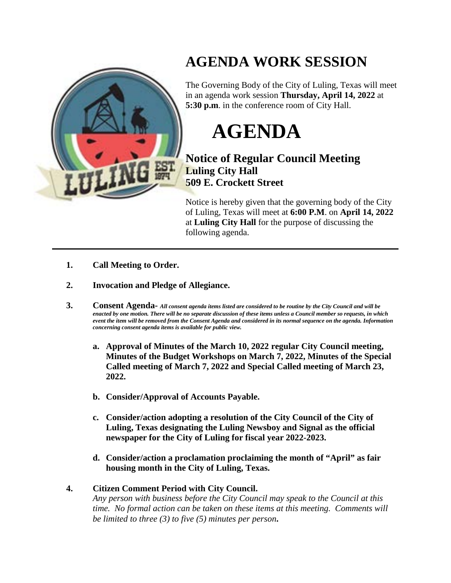

## **AGENDA WORK SESSION**

The Governing Body of the City of Luling, Texas will meet in an agenda work session **Thursday, April 14, 2022** at **5:30 p.m**. in the conference room of City Hall.

## **AGENDA**

## **Notice of Regular Council Meeting Luling City Hall 509 E. Crockett Street**

Notice is hereby given that the governing body of the City of Luling, Texas will meet at **6:00 P.M**. on **April 14, 2022** at **Luling City Hall** for the purpose of discussing the following agenda.

- **1. Call Meeting to Order.**
- **2. Invocation and Pledge of Allegiance.**
- **3. Consent Agenda-** *All consent agenda items listed are considered to be routine by the City Council and will be enacted by one motion. There will be no separate discussion of these items unless a Council member so requests, in which event the item will be removed from the Consent Agenda and considered in its normal sequence on the agenda. Information concerning consent agenda items is available for public view.*
	- **a. Approval of Minutes of the March 10, 2022 regular City Council meeting, Minutes of the Budget Workshops on March 7, 2022, Minutes of the Special Called meeting of March 7, 2022 and Special Called meeting of March 23, 2022.**
	- **b. Consider/Approval of Accounts Payable.**
	- **c. Consider/action adopting a resolution of the City Council of the City of Luling, Texas designating the Luling Newsboy and Signal as the official newspaper for the City of Luling for fiscal year 2022-2023.**
	- **d. Consider/action a proclamation proclaiming the month of "April" as fair housing month in the City of Luling, Texas.**

## **4. Citizen Comment Period with City Council.**

*Any person with business before the City Council may speak to the Council at this time. No formal action can be taken on these items at this meeting. Comments will be limited to three (3) to five (5) minutes per person***.**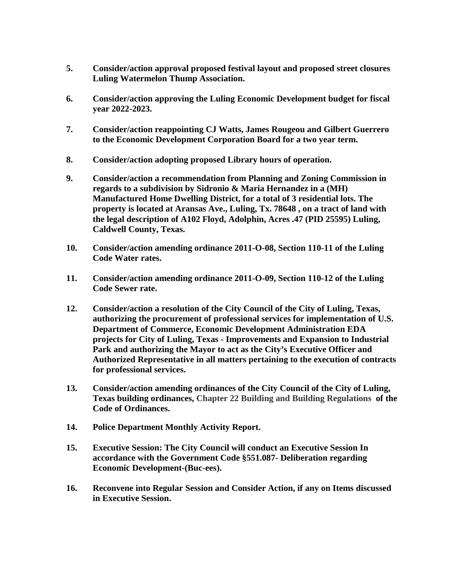- **5. Consider/action approval proposed festival layout and proposed street closures Luling Watermelon Thump Association.**
- **6. Consider/action approving the Luling Economic Development budget for fiscal year 2022-2023.**
- **7. Consider/action reappointing CJ Watts, James Rougeou and Gilbert Guerrero to the Economic Development Corporation Board for a two year term.**
- **8. Consider/action adopting proposed Library hours of operation.**
- **9. Consider/action a recommendation from Planning and Zoning Commission in regards to a subdivision by Sidronio & Maria Hernandez in a (MH) Manufactured Home Dwelling District, for a total of 3 residential lots. The property is located at Aransas Ave., Luling, Tx. 78648 , on a tract of land with the legal description of A102 Floyd, Adolphin, Acres .47 (PID 25595) Luling, Caldwell County, Texas.**
- **10. Consider/action amending ordinance 2011-O-08, Section 110-11 of the Luling Code Water rates.**
- **11. Consider/action amending ordinance 2011-O-09, Section 110-12 of the Luling Code Sewer rate.**
- **12. Consider/action a resolution of the City Council of the City of Luling, Texas, authorizing the procurement of professional services for implementation of U.S. Department of Commerce, Economic Development Administration EDA projects for City of Luling, Texas - Improvements and Expansion to Industrial Park and authorizing the Mayor to act as the City's Executive Officer and Authorized Representative in all matters pertaining to the execution of contracts for professional services.**
- **13. Consider/action amending ordinances of the City Council of the City of Luling, Texas building ordinances, Chapter 22 Building and Building Regulations of the Code of Ordinances.**
- **14. Police Department Monthly Activity Report.**
- **15. Executive Session: The City Council will conduct an Executive Session In accordance with the Government Code §551.087- Deliberation regarding Economic Development-(Buc-ees).**
- **16. Reconvene into Regular Session and Consider Action, if any on Items discussed in Executive Session.**